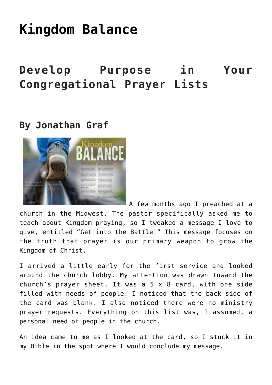# **[Kingdom Balance](https://www.prayerleader.com/kingdom-balance/)**

## **Develop Purpose in Your Congregational Prayer Lists**

### **By Jonathan Graf**



A few months ago I preached at a church in the Midwest. The pastor specifically asked me to teach about Kingdom praying, so I tweaked a message I love to give, entitled "Get into the Battle." This message focuses on the truth that prayer is our primary weapon to grow the Kingdom of Christ.

I arrived a little early for the first service and looked around the church lobby. My attention was drawn toward the church's prayer sheet. It was a 5 x 8 card, with one side filled with needs of people. I noticed that the back side of the card was blank. I also noticed there were no ministry prayer requests. Everything on this list was, I assumed, a personal need of people in the church.

An idea came to me as I looked at the card, so I stuck it in my Bible in the spot where I would conclude my message.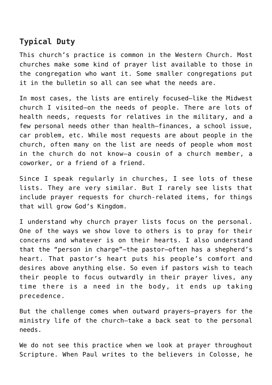#### **Typical Duty**

This church's practice is common in the Western Church. Most churches make some kind of prayer list available to those in the congregation who want it. Some smaller congregations put it in the bulletin so all can see what the needs are.

In most cases, the lists are entirely focused—like the Midwest church I visited—on the needs of people. There are lots of health needs, requests for relatives in the military, and a few personal needs other than health—finances, a school issue, car problem, etc. While most requests are about people in the church, often many on the list are needs of people whom most in the church do not know—a cousin of a church member, a coworker, or a friend of a friend.

Since I speak regularly in churches, I see lots of these lists. They are very similar. But I rarely see lists that include prayer requests for church-related items, for things that will grow God's Kingdom.

I understand why church prayer lists focus on the personal. One of the ways we show love to others is to pray for their concerns and whatever is on their hearts. I also understand that the "person in charge"—the pastor—often has a shepherd's heart. That pastor's heart puts his people's comfort and desires above anything else. So even if pastors wish to teach their people to focus outwardly in their prayer lives, any time there is a need in the body, it ends up taking precedence.

But the challenge comes when outward prayers—prayers for the ministry life of the church—take a back seat to the personal needs.

We do not see this practice when we look at prayer throughout Scripture. When Paul writes to the believers in Colosse, he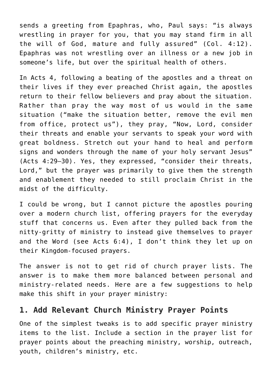sends a greeting from Epaphras, who, Paul says: "is always wrestling in prayer for you, that you may stand firm in all the will of God, mature and fully assured" (Col. 4:12). Epaphras was not wrestling over an illness or a new job in someone's life, but over the spiritual health of others.

In Acts 4, following a beating of the apostles and a threat on their lives if they ever preached Christ again, the apostles return to their fellow believers and pray about the situation. Rather than pray the way most of us would in the same situation ("make the situation better, remove the evil men from office, protect us"), they pray, "Now, Lord, consider their threats and enable your servants to speak your word with great boldness. Stretch out your hand to heal and perform signs and wonders through the name of your holy servant Jesus" (Acts 4:29–30). Yes, they expressed, "consider their threats, Lord," but the prayer was primarily to give them the strength and enablement they needed to still proclaim Christ in the midst of the difficulty.

I could be wrong, but I cannot picture the apostles pouring over a modern church list, offering prayers for the everyday stuff that concerns us. Even after they pulled back from the nitty-gritty of ministry to instead give themselves to prayer and the Word (see Acts 6:4), I don't think they let up on their Kingdom-focused prayers.

The answer is not to get rid of church prayer lists. The answer is to make them more balanced between personal and ministry-related needs. Here are a few suggestions to help make this shift in your prayer ministry:

#### **1. Add Relevant Church Ministry Prayer Points**

One of the simplest tweaks is to add specific prayer ministry items to the list. Include a section in the prayer list for prayer points about the preaching ministry, worship, outreach, youth, children's ministry, etc.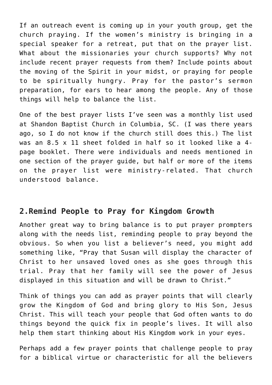If an outreach event is coming up in your youth group, get the church praying. If the women's ministry is bringing in a special speaker for a retreat, put that on the prayer list. What about the missionaries your church supports? Why not include recent prayer requests from them? Include points about the moving of the Spirit in your midst, or praying for people to be spiritually hungry. Pray for the pastor's sermon preparation, for ears to hear among the people. Any of those things will help to balance the list.

One of the best prayer lists I've seen was a monthly list used at Shandon Baptist Church in Columbia, SC. (I was there years ago, so I do not know if the church still does this.) The list was an 8.5 x 11 sheet folded in half so it looked like a 4 page booklet. There were individuals and needs mentioned in one section of the prayer guide, but half or more of the items on the prayer list were ministry-related. That church understood balance.

#### **2.Remind People to Pray for Kingdom Growth**

Another great way to bring balance is to put prayer prompters along with the needs list, reminding people to pray beyond the obvious. So when you list a believer's need, you might add something like, "Pray that Susan will display the character of Christ to her unsaved loved ones as she goes through this trial. Pray that her family will see the power of Jesus displayed in this situation and will be drawn to Christ."

Think of things you can add as prayer points that will clearly grow the Kingdom of God and bring glory to His Son, Jesus Christ. This will teach your people that God often wants to do things beyond the quick fix in people's lives. It will also help them start thinking about His Kingdom work in your eyes.

Perhaps add a few prayer points that challenge people to pray for a biblical virtue or characteristic for all the believers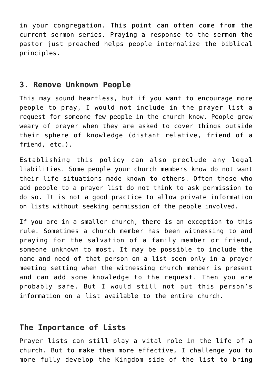in your congregation. This point can often come from the current sermon series. Praying a response to the sermon the pastor just preached helps people internalize the biblical principles.

#### **3. Remove Unknown People**

This may sound heartless, but if you want to encourage more people to pray, I would not include in the prayer list a request for someone few people in the church know. People grow weary of prayer when they are asked to cover things outside their sphere of knowledge (distant relative, friend of a friend, etc.).

Establishing this policy can also preclude any legal liabilities. Some people your church members know do not want their life situations made known to others. Often those who add people to a prayer list do not think to ask permission to do so. It is not a good practice to allow private information on lists without seeking permission of the people involved.

If you are in a smaller church, there is an exception to this rule. Sometimes a church member has been witnessing to and praying for the salvation of a family member or friend, someone unknown to most. It may be possible to include the name and need of that person on a list seen only in a prayer meeting setting when the witnessing church member is present and can add some knowledge to the request. Then you are probably safe. But I would still not put this person's information on a list available to the entire church.

#### **The Importance of Lists**

Prayer lists can still play a vital role in the life of a church. But to make them more effective, I challenge you to more fully develop the Kingdom side of the list to bring